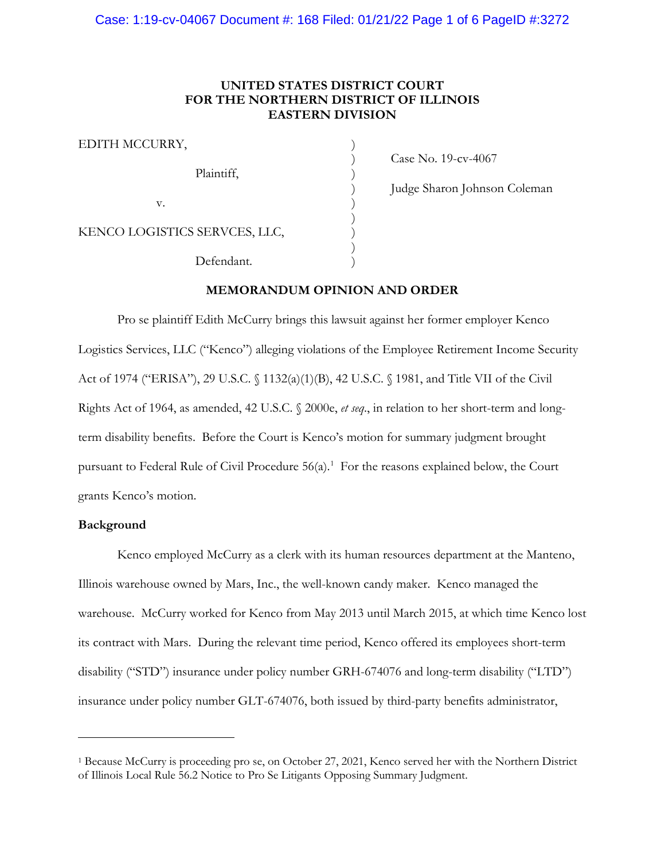## **UNITED STATES DISTRICT COURT FOR THE NORTHERN DISTRICT OF ILLINOIS EASTERN DIVISION**

EDITH MCCURRY, Plaintiff,  $\qquad \qquad$  )  $\mathbf v.$  ) KENCO LOGISTICS SERVCES, LLC, ) Defendant.

) Case No. 19-cv-4067

) Judge Sharon Johnson Coleman

### **MEMORANDUM OPINION AND ORDER**

) ) )

)

Pro se plaintiff Edith McCurry brings this lawsuit against her former employer Kenco Logistics Services, LLC ("Kenco") alleging violations of the Employee Retirement Income Security Act of 1974 ("ERISA"), 29 U.S.C. § 1132(a)(1)(B), 42 U.S.C. § 1981, and Title VII of the Civil Rights Act of 1964, as amended, 42 U.S.C. § 2000e, *et seq*., in relation to her short-term and longterm disability benefits. Before the Court is Kenco's motion for summary judgment brought pursuant to Federal Rule of Civil Procedure  $56(a)$ .<sup>[1](#page-0-0)</sup> For the reasons explained below, the Court grants Kenco's motion.

## **Background**

Kenco employed McCurry as a clerk with its human resources department at the Manteno, Illinois warehouse owned by Mars, Inc., the well-known candy maker. Kenco managed the warehouse. McCurry worked for Kenco from May 2013 until March 2015, at which time Kenco lost its contract with Mars. During the relevant time period, Kenco offered its employees short-term disability ("STD") insurance under policy number GRH-674076 and long-term disability ("LTD") insurance under policy number GLT-674076, both issued by third-party benefits administrator,

<span id="page-0-0"></span><sup>1</sup> Because McCurry is proceeding pro se, on October 27, 2021, Kenco served her with the Northern District of Illinois Local Rule 56.2 Notice to Pro Se Litigants Opposing Summary Judgment.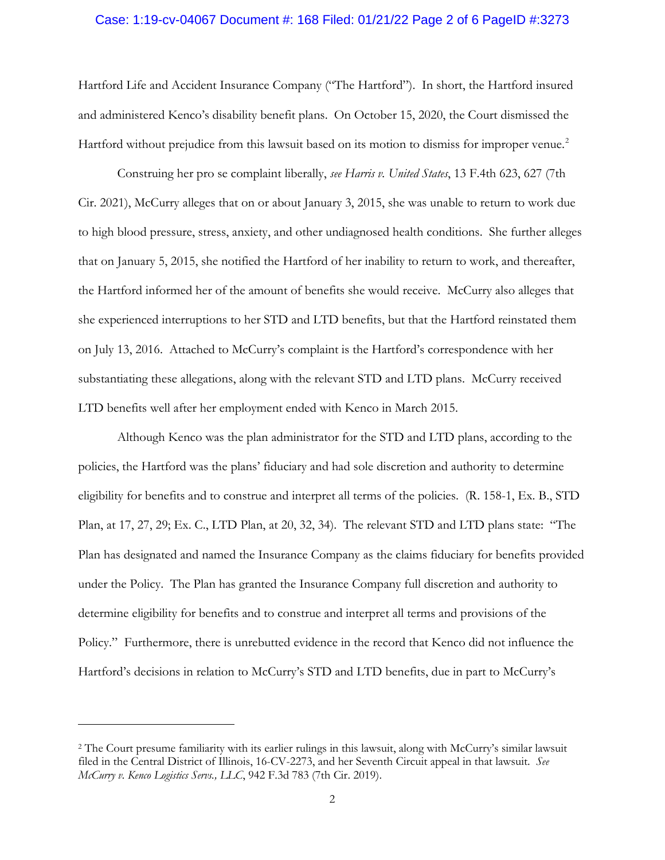#### Case: 1:19-cv-04067 Document #: 168 Filed: 01/21/22 Page 2 of 6 PageID #:3273

Hartford Life and Accident Insurance Company ("The Hartford"). In short, the Hartford insured and administered Kenco's disability benefit plans. On October 15, 2020, the Court dismissed the Hartford without prejudice from this lawsuit based on its motion to dismiss for improper venue.<sup>[2](#page-1-0)</sup>

Construing her pro se complaint liberally, *see Harris v. United States*, 13 F.4th 623, 627 (7th Cir. 2021), McCurry alleges that on or about January 3, 2015, she was unable to return to work due to high blood pressure, stress, anxiety, and other undiagnosed health conditions. She further alleges that on January 5, 2015, she notified the Hartford of her inability to return to work, and thereafter, the Hartford informed her of the amount of benefits she would receive. McCurry also alleges that she experienced interruptions to her STD and LTD benefits, but that the Hartford reinstated them on July 13, 2016. Attached to McCurry's complaint is the Hartford's correspondence with her substantiating these allegations, along with the relevant STD and LTD plans. McCurry received LTD benefits well after her employment ended with Kenco in March 2015.

Although Kenco was the plan administrator for the STD and LTD plans, according to the policies, the Hartford was the plans' fiduciary and had sole discretion and authority to determine eligibility for benefits and to construe and interpret all terms of the policies. (R. 158-1, Ex. B., STD Plan, at 17, 27, 29; Ex. C., LTD Plan, at 20, 32, 34). The relevant STD and LTD plans state: "The Plan has designated and named the Insurance Company as the claims fiduciary for benefits provided under the Policy. The Plan has granted the Insurance Company full discretion and authority to determine eligibility for benefits and to construe and interpret all terms and provisions of the Policy." Furthermore, there is unrebutted evidence in the record that Kenco did not influence the Hartford's decisions in relation to McCurry's STD and LTD benefits, due in part to McCurry's

<span id="page-1-0"></span><sup>2</sup> The Court presume familiarity with its earlier rulings in this lawsuit, along with McCurry's similar lawsuit filed in the Central District of Illinois, 16-CV-2273, and her Seventh Circuit appeal in that lawsuit. *See McCurry v. Kenco Logistics Servs., LLC*, 942 F.3d 783 (7th Cir. 2019).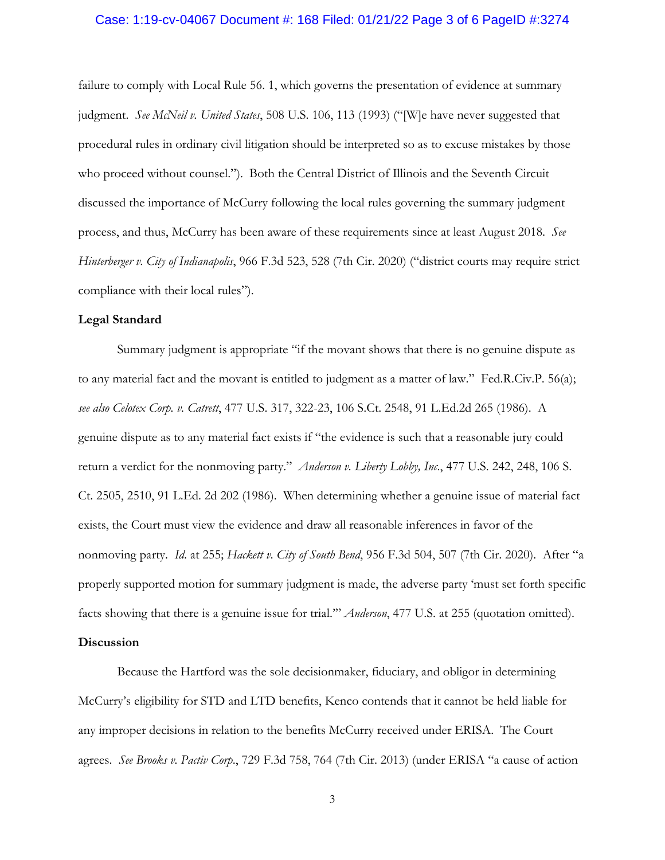#### Case: 1:19-cv-04067 Document #: 168 Filed: 01/21/22 Page 3 of 6 PageID #:3274

failure to comply with Local Rule 56. 1, which governs the presentation of evidence at summary judgment. *See McNeil v. United States*, 508 U.S. 106, 113 (1993) ("[W]e have never suggested that procedural rules in ordinary civil litigation should be interpreted so as to excuse mistakes by those who proceed without counsel."). Both the Central District of Illinois and the Seventh Circuit discussed the importance of McCurry following the local rules governing the summary judgment process, and thus, McCurry has been aware of these requirements since at least August 2018. *See Hinterberger v. City of Indianapolis*, 966 F.3d 523, 528 (7th Cir. 2020) ("district courts may require strict compliance with their local rules").

#### **Legal Standard**

Summary judgment is appropriate "if the movant shows that there is no genuine dispute as to any material fact and the movant is entitled to judgment as a matter of law." Fed.R.Civ.P. 56(a); *see also Celotex Corp. v. Catrett*, 477 U.S. 317, 322-23, 106 S.Ct. 2548, 91 L.Ed.2d 265 (1986). A genuine dispute as to any material fact exists if "the evidence is such that a reasonable jury could return a verdict for the nonmoving party." *Anderson v. Liberty Lobby, Inc*., 477 U.S. 242, 248, 106 S. Ct. 2505, 2510, 91 L.Ed. 2d 202 (1986). When determining whether a genuine issue of material fact exists, the Court must view the evidence and draw all reasonable inferences in favor of the nonmoving party. *Id*. at 255; *Hackett v. City of South Bend*, 956 F.3d 504, 507 (7th Cir. 2020). After "a properly supported motion for summary judgment is made, the adverse party 'must set forth specific facts showing that there is a genuine issue for trial.'" *Anderson*, 477 U.S. at 255 (quotation omitted).

#### **Discussion**

Because the Hartford was the sole decisionmaker, fiduciary, and obligor in determining McCurry's eligibility for STD and LTD benefits, Kenco contends that it cannot be held liable for any improper decisions in relation to the benefits McCurry received under ERISA. The Court agrees. *See Brooks v. Pactiv Corp*., 729 F.3d 758, 764 (7th Cir. 2013) (under ERISA "a cause of action

3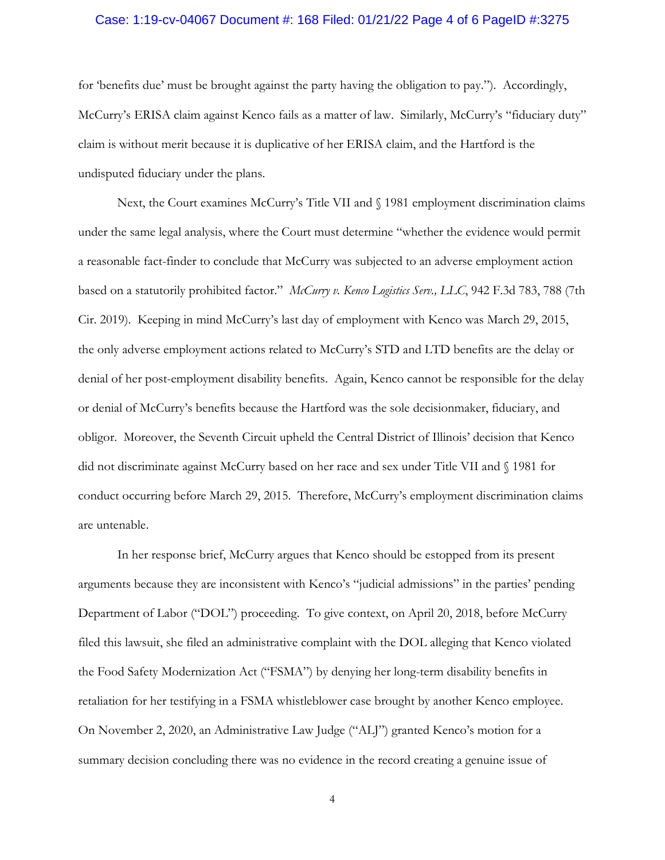#### Case: 1:19-cv-04067 Document #: 168 Filed: 01/21/22 Page 4 of 6 PageID #:3275

for 'benefits due' must be brought against the party having the obligation to pay."). Accordingly, McCurry's ERISA claim against Kenco fails as a matter of law. Similarly, McCurry's "fiduciary duty" claim is without merit because it is duplicative of her ERISA claim, and the Hartford is the undisputed fiduciary under the plans.

Next, the Court examines McCurry's Title VII and  $\S$  1981 employment discrimination claims under the same legal analysis, where the Court must determine "whether the evidence would permit a reasonable fact-finder to conclude that McCurry was subjected to an adverse employment action based on a statutorily prohibited factor." *McCurry v. Kenco Logistics Serv., LLC*, 942 F.3d 783, 788 (7th Cir. 2019). Keeping in mind McCurry's last day of employment with Kenco was March 29, 2015, the only adverse employment actions related to McCurry's STD and LTD benefits are the delay or denial of her post-employment disability benefits. Again, Kenco cannot be responsible for the delay or denial of McCurry's benefits because the Hartford was the sole decisionmaker, fiduciary, and obligor. Moreover, the Seventh Circuit upheld the Central District of Illinois' decision that Kenco did not discriminate against McCurry based on her race and sex under Title VII and § 1981 for conduct occurring before March 29, 2015. Therefore, McCurry's employment discrimination claims are untenable.

In her response brief, McCurry argues that Kenco should be estopped from its present arguments because they are inconsistent with Kenco's "judicial admissions" in the parties' pending Department of Labor ("DOL") proceeding. To give context, on April 20, 2018, before McCurry filed this lawsuit, she filed an administrative complaint with the DOL alleging that Kenco violated the Food Safety Modernization Act ("FSMA") by denying her long-term disability benefits in retaliation for her testifying in a FSMA whistleblower case brought by another Kenco employee. On November 2, 2020, an Administrative Law Judge ("ALJ") granted Kenco's motion for a summary decision concluding there was no evidence in the record creating a genuine issue of

4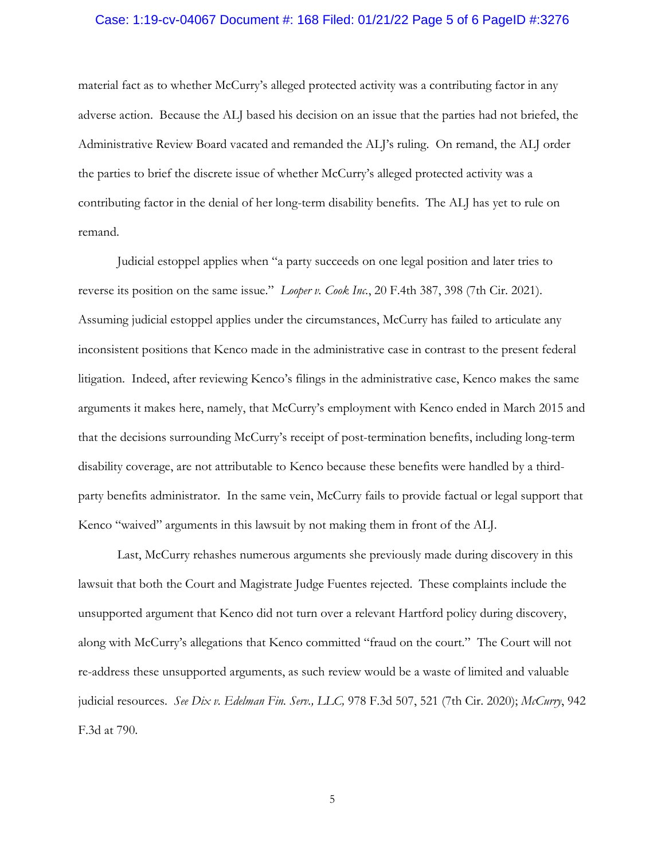#### Case: 1:19-cv-04067 Document #: 168 Filed: 01/21/22 Page 5 of 6 PageID #:3276

material fact as to whether McCurry's alleged protected activity was a contributing factor in any adverse action. Because the ALJ based his decision on an issue that the parties had not briefed, the Administrative Review Board vacated and remanded the ALJ's ruling. On remand, the ALJ order the parties to brief the discrete issue of whether McCurry's alleged protected activity was a contributing factor in the denial of her long-term disability benefits. The ALJ has yet to rule on remand.

Judicial estoppel applies when "a party succeeds on one legal position and later tries to reverse its position on the same issue." *Looper v. Cook Inc.*, 20 F.4th 387, 398 (7th Cir. 2021). Assuming judicial estoppel applies under the circumstances, McCurry has failed to articulate any inconsistent positions that Kenco made in the administrative case in contrast to the present federal litigation. Indeed, after reviewing Kenco's filings in the administrative case, Kenco makes the same arguments it makes here, namely, that McCurry's employment with Kenco ended in March 2015 and that the decisions surrounding McCurry's receipt of post-termination benefits, including long-term disability coverage, are not attributable to Kenco because these benefits were handled by a thirdparty benefits administrator. In the same vein, McCurry fails to provide factual or legal support that Kenco "waived" arguments in this lawsuit by not making them in front of the ALJ.

Last, McCurry rehashes numerous arguments she previously made during discovery in this lawsuit that both the Court and Magistrate Judge Fuentes rejected. These complaints include the unsupported argument that Kenco did not turn over a relevant Hartford policy during discovery, along with McCurry's allegations that Kenco committed "fraud on the court." The Court will not re-address these unsupported arguments, as such review would be a waste of limited and valuable judicial resources. *See Dix v. Edelman Fin. Serv., LLC,* 978 F.3d 507, 521 (7th Cir. 2020); *McCurry*, 942 F.3d at 790.

5